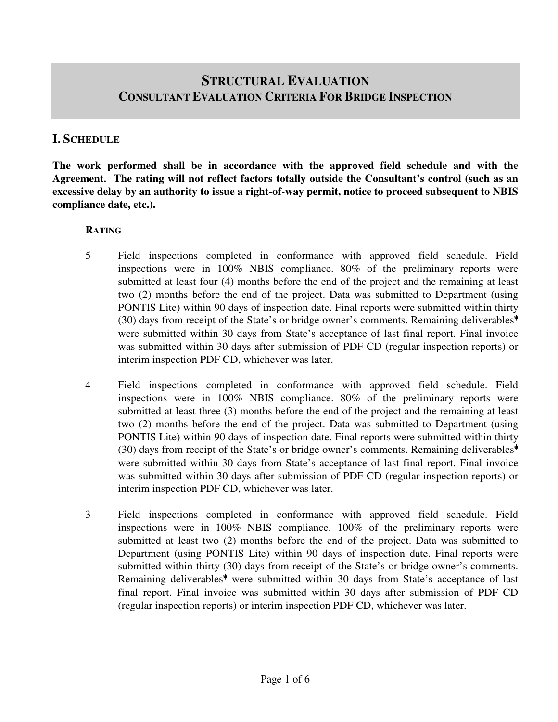# **STRUCTURAL EVALUATION CONSULTANT EVALUATION CRITERIA FOR BRIDGE INSPECTION**

### **I. SCHEDULE**

**The work performed shall be in accordance with the approved field schedule and with the Agreement. The rating will not reflect factors totally outside the Consultant's control (such as an excessive delay by an authority to issue a right-of-way permit, notice to proceed subsequent to NBIS compliance date, etc.).** 

### **RATING**

- 5 Field inspections completed in conformance with approved field schedule. Field inspections were in 100% NBIS compliance. 80% of the preliminary reports were submitted at least four (4) months before the end of the project and the remaining at least two (2) months before the end of the project. Data was submitted to Department (using PONTIS Lite) within 90 days of inspection date. Final reports were submitted within thirty (30) days from receipt of the State's or bridge owner's comments. Remaining deliverables<sup> $\psi$ </sup> were submitted within 30 days from State's acceptance of last final report. Final invoice was submitted within 30 days after submission of PDF CD (regular inspection reports) or interim inspection PDF CD, whichever was later.
- 4 Field inspections completed in conformance with approved field schedule. Field inspections were in 100% NBIS compliance. 80% of the preliminary reports were submitted at least three (3) months before the end of the project and the remaining at least two (2) months before the end of the project. Data was submitted to Department (using PONTIS Lite) within 90 days of inspection date. Final reports were submitted within thirty (30) days from receipt of the State's or bridge owner's comments. Remaining deliverables<sup> $\psi$ </sup> were submitted within 30 days from State's acceptance of last final report. Final invoice was submitted within 30 days after submission of PDF CD (regular inspection reports) or interim inspection PDF CD, whichever was later.
- 3 Field inspections completed in conformance with approved field schedule. Field inspections were in 100% NBIS compliance. 100% of the preliminary reports were submitted at least two (2) months before the end of the project. Data was submitted to Department (using PONTIS Lite) within 90 days of inspection date. Final reports were submitted within thirty (30) days from receipt of the State's or bridge owner's comments. Remaining deliverables<sup> $\psi$ </sup> were submitted within 30 days from State's acceptance of last final report. Final invoice was submitted within 30 days after submission of PDF CD (regular inspection reports) or interim inspection PDF CD, whichever was later.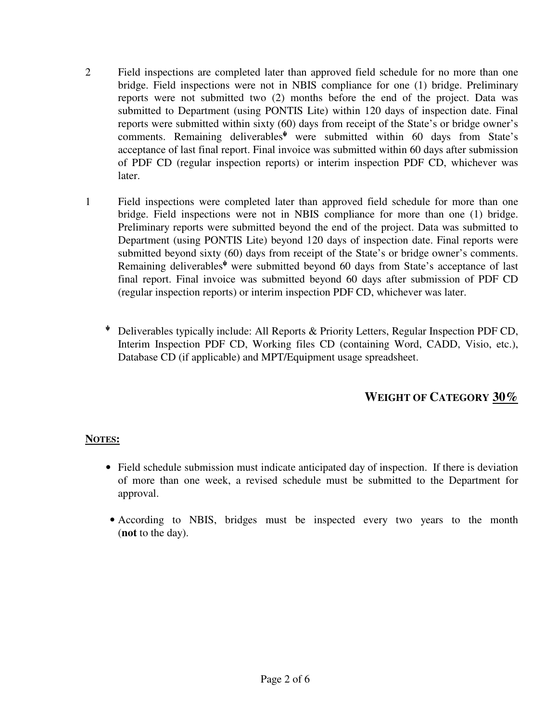- 2 Field inspections are completed later than approved field schedule for no more than one bridge. Field inspections were not in NBIS compliance for one (1) bridge. Preliminary reports were not submitted two (2) months before the end of the project. Data was submitted to Department (using PONTIS Lite) within 120 days of inspection date. Final reports were submitted within sixty (60) days from receipt of the State's or bridge owner's comments. Remaining deliverables<sup>\*</sup> were submitted within 60 days from State's acceptance of last final report. Final invoice was submitted within 60 days after submission of PDF CD (regular inspection reports) or interim inspection PDF CD, whichever was later.
- 1 Field inspections were completed later than approved field schedule for more than one bridge. Field inspections were not in NBIS compliance for more than one (1) bridge. Preliminary reports were submitted beyond the end of the project. Data was submitted to Department (using PONTIS Lite) beyond 120 days of inspection date. Final reports were submitted beyond sixty (60) days from receipt of the State's or bridge owner's comments. Remaining deliverables<sup>↓</sup> were submitted beyond 60 days from State's acceptance of last final report. Final invoice was submitted beyond 60 days after submission of PDF CD (regular inspection reports) or interim inspection PDF CD, whichever was later.
	- <sup>ψ</sup> Deliverables typically include: All Reports & Priority Letters, Regular Inspection PDF CD, Interim Inspection PDF CD, Working files CD (containing Word, CADD, Visio, etc.), Database CD (if applicable) and MPT/Equipment usage spreadsheet.

# **WEIGHT OF CATEGORY 30%**

### **NOTES:**

- Field schedule submission must indicate anticipated day of inspection. If there is deviation of more than one week, a revised schedule must be submitted to the Department for approval.
- According to NBIS, bridges must be inspected every two years to the month (**not** to the day).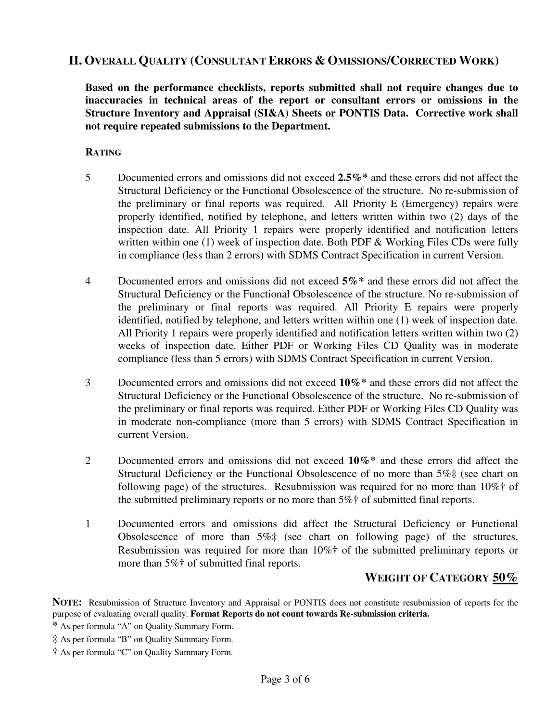### **II. OVERALL QUALITY (CONSULTANT ERRORS & OMISSIONS/CORRECTED WORK)**

**Based on the performance checklists, reports submitted shall not require changes due to inaccuracies in technical areas of the report or consultant errors or omissions in the Structure Inventory and Appraisal (SI&A) Sheets or PONTIS Data. Corrective work shall not require repeated submissions to the Department.**

#### **RATING**

- 5 Documented errors and omissions did not exceed **2.5%\*** and these errors did not affect the Structural Deficiency or the Functional Obsolescence of the structure. No re-submission of the preliminary or final reports was required. All Priority E (Emergency) repairs were properly identified, notified by telephone, and letters written within two (2) days of the inspection date. All Priority 1 repairs were properly identified and notification letters written within one  $(1)$  week of inspection date. Both PDF & Working Files CDs were fully in compliance (less than 2 errors) with SDMS Contract Specification in current Version.
- 4 Documented errors and omissions did not exceed **5%\*** and these errors did not affect the Structural Deficiency or the Functional Obsolescence of the structure. No re-submission of the preliminary or final reports was required. All Priority E repairs were properly identified, notified by telephone, and letters written within one (1) week of inspection date. All Priority 1 repairs were properly identified and notification letters written within two (2) weeks of inspection date. Either PDF or Working Files CD Quality was in moderate compliance (less than 5 errors) with SDMS Contract Specification in current Version.
- 3 Documented errors and omissions did not exceed **10%\*** and these errors did not affect the Structural Deficiency or the Functional Obsolescence of the structure. No re-submission of the preliminary or final reports was required. Either PDF or Working Files CD Quality was in moderate non-compliance (more than 5 errors) with SDMS Contract Specification in current Version.
- 2 Documented errors and omissions did not exceed **10%\*** and these errors did affect the Structural Deficiency or the Functional Obsolescence of no more than 5%**‡** (see chart on following page) of the structures. Resubmission was required for no more than 10%**†** of the submitted preliminary reports or no more than 5%**†** of submitted final reports.
- 1 Documented errors and omissions did affect the Structural Deficiency or Functional Obsolescence of more than 5%**‡** (see chart on following page) of the structures. Resubmission was required for more than 10%**†** of the submitted preliminary reports or more than 5%**†** of submitted final reports.

# **WEIGHT OF CATEGORY 50%**

**NOTE:** Resubmission of Structure Inventory and Appraisal or PONTIS does not constitute resubmission of reports for the purpose of evaluating overall quality. **Format Reports do not count towards Re-submission criteria.** 

**\*** As per formula "A" on Quality Summary Form.

**‡** As per formula "B" on Quality Summary Form.

**†** As per formula "C" on Quality Summary Form.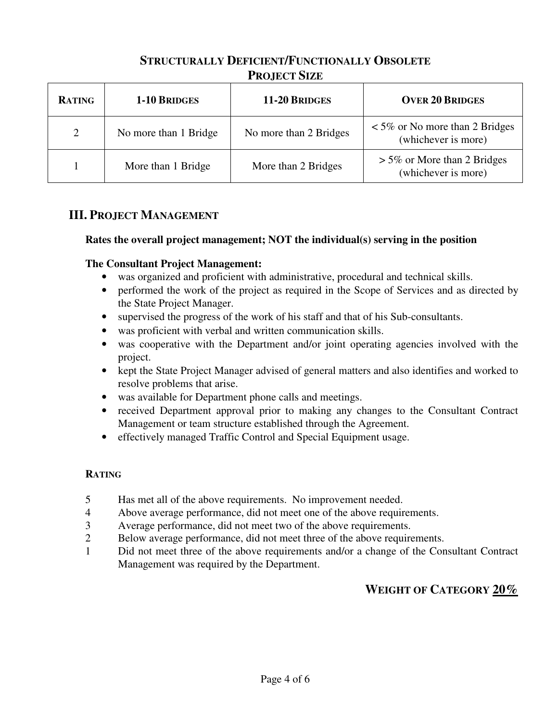# **STRUCTURALLY DEFICIENT/FUNCTIONALLY OBSOLETE PROJECT SIZE**

| <b>RATING</b>  | 1-10 BRIDGES          | 11-20 BRIDGES          | <b>OVER 20 BRIDGES</b>                                     |  |
|----------------|-----------------------|------------------------|------------------------------------------------------------|--|
| $\overline{2}$ | No more than 1 Bridge | No more than 2 Bridges | $\leq$ 5% or No more than 2 Bridges<br>(whichever is more) |  |
|                | More than 1 Bridge    | More than 2 Bridges    | $> 5\%$ or More than 2 Bridges<br>(whichever is more)      |  |

# **III. PROJECT MANAGEMENT**

### **Rates the overall project management; NOT the individual(s) serving in the position**

### **The Consultant Project Management:**

- was organized and proficient with administrative, procedural and technical skills.
- performed the work of the project as required in the Scope of Services and as directed by the State Project Manager.
- supervised the progress of the work of his staff and that of his Sub-consultants.
- was proficient with verbal and written communication skills.
- was cooperative with the Department and/or joint operating agencies involved with the project.
- kept the State Project Manager advised of general matters and also identifies and worked to resolve problems that arise.
- was available for Department phone calls and meetings.
- received Department approval prior to making any changes to the Consultant Contract Management or team structure established through the Agreement.
- effectively managed Traffic Control and Special Equipment usage.

### **RATING**

- 5 Has met all of the above requirements. No improvement needed.
- 4 Above average performance, did not meet one of the above requirements.
- 3 Average performance, did not meet two of the above requirements.
- 2 Below average performance, did not meet three of the above requirements.
- 1 Did not meet three of the above requirements and/or a change of the Consultant Contract Management was required by the Department.

# **WEIGHT OF CATEGORY 20%**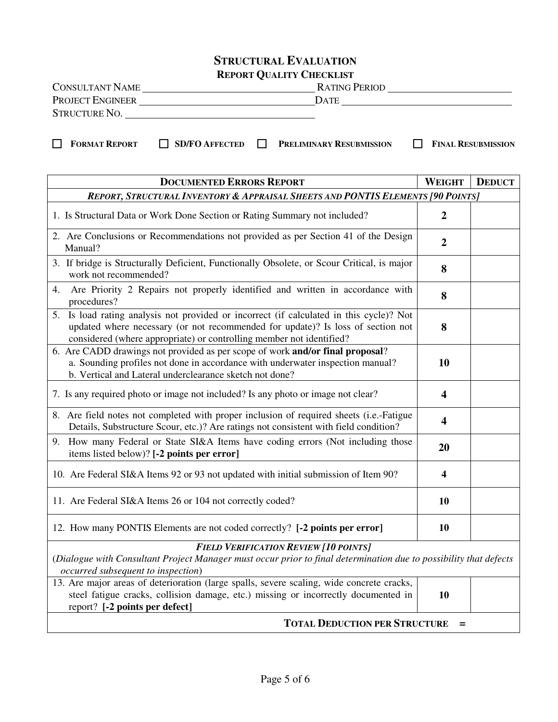# **STRUCTURAL EVALUATION**

|  |  | <b>REPORT QUALITY CHECKLIST</b> |
|--|--|---------------------------------|
|--|--|---------------------------------|

| <b>CONSULTANT NAME</b>  | <b>RATING PERIOD</b> |
|-------------------------|----------------------|
| <b>PROJECT ENGINEER</b> | Date                 |
| <b>STRUCTURE NO.</b>    |                      |

**FORMAT REPORT SD/FO AFFECTED PRELIMINARY RESUBMISSION FINAL RESUBMISSION**

| <b>DOCUMENTED ERRORS REPORT</b>                                                                                                                                                                                                                       | <b>WEIGHT</b>           | <b>DEDUCT</b> |  |  |  |
|-------------------------------------------------------------------------------------------------------------------------------------------------------------------------------------------------------------------------------------------------------|-------------------------|---------------|--|--|--|
| REPORT, STRUCTURAL INVENTORY & APPRAISAL SHEETS AND PONTIS ELEMENTS [90 POINTS]                                                                                                                                                                       |                         |               |  |  |  |
| 1. Is Structural Data or Work Done Section or Rating Summary not included?                                                                                                                                                                            | $\boldsymbol{2}$        |               |  |  |  |
| 2. Are Conclusions or Recommendations not provided as per Section 41 of the Design<br>Manual?                                                                                                                                                         | $\boldsymbol{2}$        |               |  |  |  |
| 3. If bridge is Structurally Deficient, Functionally Obsolete, or Scour Critical, is major<br>work not recommended?                                                                                                                                   | 8                       |               |  |  |  |
| Are Priority 2 Repairs not properly identified and written in accordance with<br>4.<br>procedures?                                                                                                                                                    | 8                       |               |  |  |  |
| Is load rating analysis not provided or incorrect (if calculated in this cycle)? Not<br>5.<br>updated where necessary (or not recommended for update)? Is loss of section not<br>considered (where appropriate) or controlling member not identified? | 8                       |               |  |  |  |
| 6. Are CADD drawings not provided as per scope of work and/or final proposal?<br>a. Sounding profiles not done in accordance with underwater inspection manual?<br>b. Vertical and Lateral underclearance sketch not done?                            | 10                      |               |  |  |  |
| 7. Is any required photo or image not included? Is any photo or image not clear?                                                                                                                                                                      | $\overline{\mathbf{4}}$ |               |  |  |  |
| 8. Are field notes not completed with proper inclusion of required sheets (i.e.-Fatigue<br>Details, Substructure Scour, etc.)? Are ratings not consistent with field condition?                                                                       | $\overline{\mathbf{4}}$ |               |  |  |  |
| 9. How many Federal or State SI&A Items have coding errors (Not including those<br>items listed below)? [-2 points per error]                                                                                                                         | 20                      |               |  |  |  |
| 10. Are Federal SI&A Items 92 or 93 not updated with initial submission of Item 90?                                                                                                                                                                   | 4                       |               |  |  |  |
| 11. Are Federal SI&A Items 26 or 104 not correctly coded?                                                                                                                                                                                             | 10                      |               |  |  |  |
| 12. How many PONTIS Elements are not coded correctly? [-2 points per error]                                                                                                                                                                           | 10                      |               |  |  |  |
| <b>FIELD VERIFICATION REVIEW [10 POINTS]</b><br>(Dialogue with Consultant Project Manager must occur prior to final determination due to possibility that defects                                                                                     |                         |               |  |  |  |

*occurred subsequent to inspection*)

| 13. Are major areas of deterioration (large spalls, severe scaling, wide concrete cracks, |    |
|-------------------------------------------------------------------------------------------|----|
| steel fatigue cracks, collision damage, etc.) missing or incorrectly documented in        | 10 |
| report? [-2 points per defect]                                                            |    |
|                                                                                           |    |

### **TOTAL DEDUCTION PER STRUCTURE =**